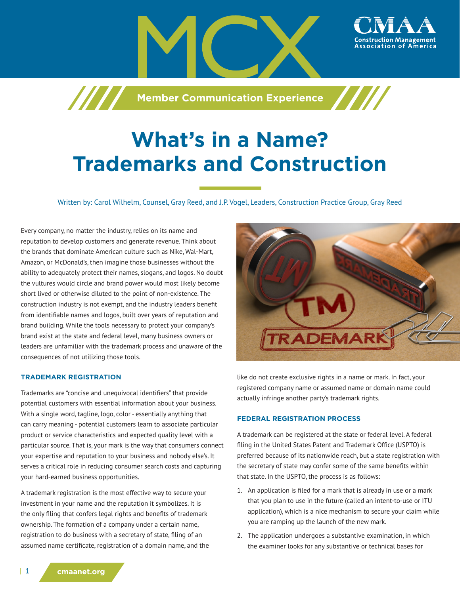

# **What's in a Name? Trademarks and Construction**

Written by: Carol Wilhelm, Counsel, Gray Reed, and J.P. Vogel, Leaders, Construction Practice Group, Gray Reed

Every company, no matter the industry, relies on its name and reputation to develop customers and generate revenue. Think about the brands that dominate American culture such as Nike, Wal-Mart, Amazon, or McDonald's, then imagine those businesses without the ability to adequately protect their names, slogans, and logos. No doubt the vultures would circle and brand power would most likely become short lived or otherwise diluted to the point of non-existence. The construction industry is not exempt, and the industry leaders benefit from identifiable names and logos, built over years of reputation and brand building. While the tools necessary to protect your company's brand exist at the state and federal level, many business owners or leaders are unfamiliar with the trademark process and unaware of the consequences of not utilizing those tools.

#### **TRADEMARK REGISTRATION**

Trademarks are "concise and unequivocal identifiers" that provide potential customers with essential information about your business. With a single word, tagline, logo, color - essentially anything that can carry meaning - potential customers learn to associate particular product or service characteristics and expected quality level with a particular source. That is, your mark is the way that consumers connect your expertise and reputation to your business and nobody else's. It serves a critical role in reducing consumer search costs and capturing your hard-earned business opportunities.

A trademark registration is the most effective way to secure your investment in your name and the reputation it symbolizes. It is the only filing that confers legal rights and benefits of trademark ownership. The formation of a company under a certain name, registration to do business with a secretary of state, filing of an assumed name certificate, registration of a domain name, and the



like do not create exclusive rights in a name or mark. In fact, your registered company name or assumed name or domain name could actually infringe another party's trademark rights.

### **FEDERAL REGISTRATION PROCESS**

A trademark can be registered at the state or federal level. A federal filing in the United States Patent and Trademark Office (USPTO) is preferred because of its nationwide reach, but a state registration with the secretary of state may confer some of the same benefits within that state. In the USPTO, the process is as follows:

- 1. An application is filed for a mark that is already in use or a mark that you plan to use in the future (called an intent-to-use or ITU application), which is a nice mechanism to secure your claim while you are ramping up the launch of the new mark.
- 2. The application undergoes a substantive examination, in which the examiner looks for any substantive or technical bases for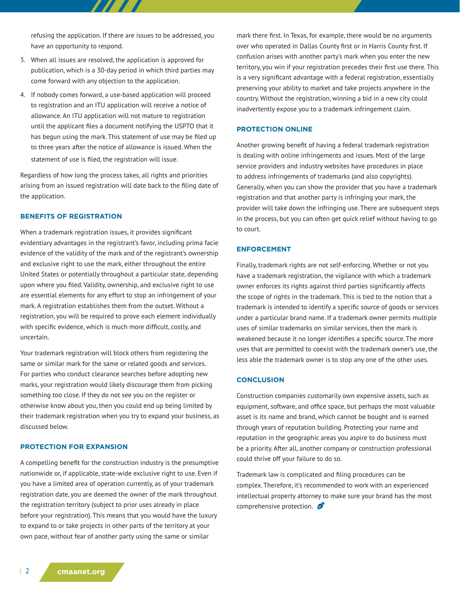refusing the application. If there are issues to be addressed, you have an opportunity to respond.

77. 77

- 3. When all issues are resolved, the application is approved for publication, which is a 30-day period in which third parties may come forward with any objection to the application.
- 4. If nobody comes forward, a use-based application will proceed to registration and an ITU application will receive a notice of allowance. An ITU application will not mature to registration until the applicant files a document notifying the USPTO that it has begun using the mark. This statement of use may be filed up to three years after the notice of allowance is issued. When the statement of use is filed, the registration will issue.

Regardless of how long the process takes, all rights and priorities arising from an issued registration will date back to the filing date of the application.

## **BENEFITS OF REGISTRATION**

When a trademark registration issues, it provides significant evidentiary advantages in the registrant's favor, including prima facie evidence of the validity of the mark and of the registrant's ownership and exclusive right to use the mark, either throughout the entire United States or potentially throughout a particular state, depending upon where you filed. Validity, ownership, and exclusive right to use are essential elements for any effort to stop an infringement of your mark. A registration establishes them from the outset. Without a registration, you will be required to prove each element individually with specific evidence, which is much more difficult, costly, and uncertain.

Your trademark registration will block others from registering the same or similar mark for the same or related goods and services. For parties who conduct clearance searches before adopting new marks, your registration would likely discourage them from picking something too close. If they do not see you on the register or otherwise know about you, then you could end up being limited by their trademark registration when you try to expand your business, as discussed below.

## **PROTECTION FOR EXPANSION**

A compelling benefit for the construction industry is the presumptive nationwide or, if applicable, state-wide exclusive right to use. Even if you have a limited area of operation currently, as of your trademark registration date, you are deemed the owner of the mark throughout the registration territory (subject to prior uses already in place before your registration). This means that you would have the luxury to expand to or take projects in other parts of the territory at your own pace, without fear of another party using the same or similar

mark there first. In Texas, for example, there would be no arguments over who operated in Dallas County first or in Harris County first. If confusion arises with another party's mark when you enter the new territory, you win if your registration precedes their first use there. This is a very significant advantage with a federal registration, essentially preserving your ability to market and take projects anywhere in the country. Without the registration, winning a bid in a new city could inadvertently expose you to a trademark infringement claim.

#### **PROTECTION ONLINE**

Another growing benefit of having a federal trademark registration is dealing with online infringements and issues. Most of the large service providers and industry websites have procedures in place to address infringements of trademarks (and also copyrights). Generally, when you can show the provider that you have a trademark registration and that another party is infringing your mark, the provider will take down the infringing use. There are subsequent steps in the process, but you can often get quick relief without having to go to court.

#### **ENFORCEMENT**

Finally, trademark rights are not self-enforcing. Whether or not you have a trademark registration, the vigilance with which a trademark owner enforces its rights against third parties significantly affects the scope of rights in the trademark. This is tied to the notion that a trademark is intended to identify a specific source of goods or services under a particular brand name. If a trademark owner permits multiple uses of similar trademarks on similar services, then the mark is weakened because it no longer identifies a specific source. The more uses that are permitted to coexist with the trademark owner's use, the less able the trademark owner is to stop any one of the other uses.

#### **CONCLUSION**

Construction companies customarily own expensive assets, such as equipment, software, and office space, but perhaps the most valuable asset is its name and brand, which cannot be bought and is earned through years of reputation building. Protecting your name and reputation in the geographic areas you aspire to do business must be a priority. After all, another company or construction professional could thrive off your failure to do so.

Trademark law is complicated and filing procedures can be complex. Therefore, it's recommended to work with an experienced intellectual property attorney to make sure your brand has the most comprehensive protection.